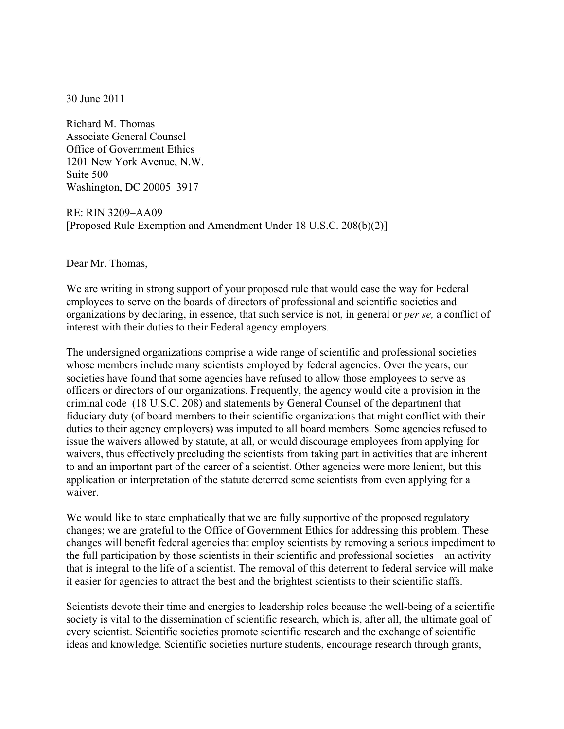30 June 2011

Richard M. Thomas Associate General Counsel Office of Government Ethics 1201 New York Avenue, N.W. Suite 500 Washington, DC 20005–3917

RE: RIN 3209–AA09 [Proposed Rule Exemption and Amendment Under 18 U.S.C. 208(b)(2)]

Dear Mr. Thomas,

We are writing in strong support of your proposed rule that would ease the way for Federal employees to serve on the boards of directors of professional and scientific societies and organizations by declaring, in essence, that such service is not, in general or *per se,* a conflict of interest with their duties to their Federal agency employers.

The undersigned organizations comprise a wide range of scientific and professional societies whose members include many scientists employed by federal agencies. Over the years, our societies have found that some agencies have refused to allow those employees to serve as officers or directors of our organizations. Frequently, the agency would cite a provision in the criminal code (18 U.S.C. 208) and statements by General Counsel of the department that fiduciary duty (of board members to their scientific organizations that might conflict with their duties to their agency employers) was imputed to all board members. Some agencies refused to issue the waivers allowed by statute, at all, or would discourage employees from applying for waivers, thus effectively precluding the scientists from taking part in activities that are inherent to and an important part of the career of a scientist. Other agencies were more lenient, but this application or interpretation of the statute deterred some scientists from even applying for a waiver.

We would like to state emphatically that we are fully supportive of the proposed regulatory changes; we are grateful to the Office of Government Ethics for addressing this problem. These changes will benefit federal agencies that employ scientists by removing a serious impediment to the full participation by those scientists in their scientific and professional societies – an activity that is integral to the life of a scientist. The removal of this deterrent to federal service will make it easier for agencies to attract the best and the brightest scientists to their scientific staffs.

Scientists devote their time and energies to leadership roles because the well-being of a scientific society is vital to the dissemination of scientific research, which is, after all, the ultimate goal of every scientist. Scientific societies promote scientific research and the exchange of scientific ideas and knowledge. Scientific societies nurture students, encourage research through grants,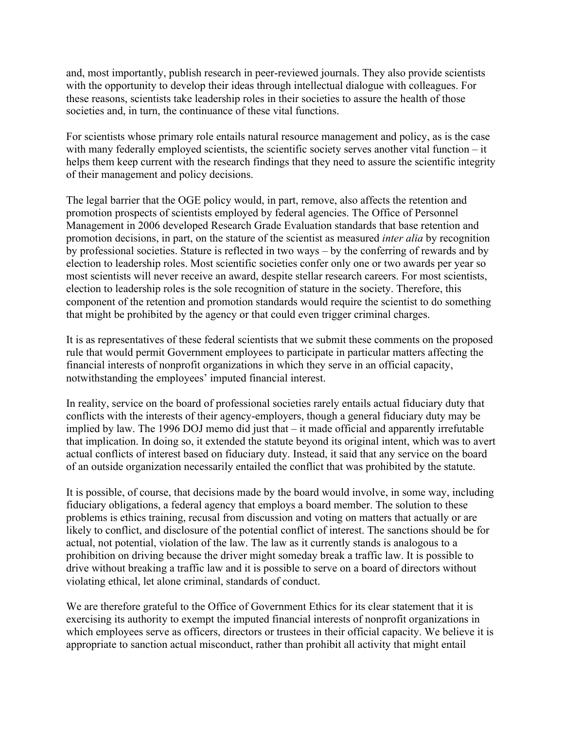and, most importantly, publish research in peer-reviewed journals. They also provide scientists with the opportunity to develop their ideas through intellectual dialogue with colleagues. For these reasons, scientists take leadership roles in their societies to assure the health of those societies and, in turn, the continuance of these vital functions.

For scientists whose primary role entails natural resource management and policy, as is the case with many federally employed scientists, the scientific society serves another vital function – it helps them keep current with the research findings that they need to assure the scientific integrity of their management and policy decisions.

The legal barrier that the OGE policy would, in part, remove, also affects the retention and promotion prospects of scientists employed by federal agencies. The Office of Personnel Management in 2006 developed Research Grade Evaluation standards that base retention and promotion decisions, in part, on the stature of the scientist as measured *inter alia* by recognition by professional societies. Stature is reflected in two ways – by the conferring of rewards and by election to leadership roles. Most scientific societies confer only one or two awards per year so most scientists will never receive an award, despite stellar research careers. For most scientists, election to leadership roles is the sole recognition of stature in the society. Therefore, this component of the retention and promotion standards would require the scientist to do something that might be prohibited by the agency or that could even trigger criminal charges.

It is as representatives of these federal scientists that we submit these comments on the proposed rule that would permit Government employees to participate in particular matters affecting the financial interests of nonprofit organizations in which they serve in an official capacity, notwithstanding the employees' imputed financial interest.

In reality, service on the board of professional societies rarely entails actual fiduciary duty that conflicts with the interests of their agency-employers, though a general fiduciary duty may be implied by law. The 1996 DOJ memo did just that – it made official and apparently irrefutable that implication. In doing so, it extended the statute beyond its original intent, which was to avert actual conflicts of interest based on fiduciary duty. Instead, it said that any service on the board of an outside organization necessarily entailed the conflict that was prohibited by the statute.

It is possible, of course, that decisions made by the board would involve, in some way, including fiduciary obligations, a federal agency that employs a board member. The solution to these problems is ethics training, recusal from discussion and voting on matters that actually or are likely to conflict, and disclosure of the potential conflict of interest. The sanctions should be for actual, not potential, violation of the law. The law as it currently stands is analogous to a prohibition on driving because the driver might someday break a traffic law. It is possible to drive without breaking a traffic law and it is possible to serve on a board of directors without violating ethical, let alone criminal, standards of conduct.

We are therefore grateful to the Office of Government Ethics for its clear statement that it is exercising its authority to exempt the imputed financial interests of nonprofit organizations in which employees serve as officers, directors or trustees in their official capacity. We believe it is appropriate to sanction actual misconduct, rather than prohibit all activity that might entail